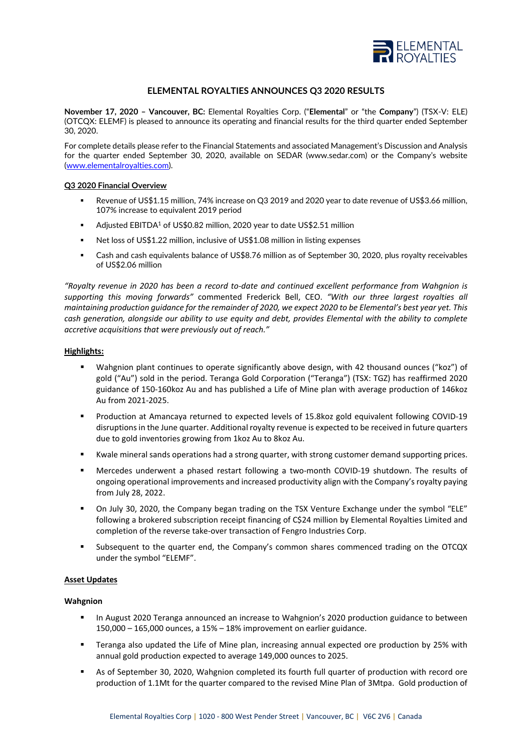

# **ELEMENTAL ROYALTIES ANNOUNCES Q3 2020 RESULTS**

**November 17, 2020 – Vancouver, BC:** Elemental Royalties Corp. ("**Elemental**" or "the **Company**") (TSX-V: ELE) (OTCQX: ELEMF) is pleased to announce its operating and financial results for the third quarter ended September 30, 2020.

For complete details please refer to the Financial Statements and associated Management's Discussion and Analysis for the quarter ended September 30, 2020, available on SEDAR (www.sedar.com) or the Company's website [\(www.elementalroyalties.com\)](http://www.elementalroyalties.com/).

### **Q3 2020 Financial Overview**

- Revenue of US\$1.15 million, 74% increase on Q3 2019 and 2020 year to date revenue of US\$3.66 million, 107% increase to equivalent 2019 period
- Adjusted EBITDA<sup>1</sup> of US\$0.82 million, 2020 year to date US\$2.51 million
- Net loss of US\$1.22 million, inclusive of US\$1.08 million in listing expenses
- Cash and cash equivalents balance of US\$8.76 million as of September 30, 2020, plus royalty receivables of US\$2.06 million

*"Royalty revenue in 2020 has been a record to-date and continued excellent performance from Wahgnion is supporting this moving forwards"* commented Frederick Bell, CEO. *"With our three largest royalties all maintaining production guidance for the remainder of 2020, we expect 2020 to be Elemental's best year yet. This cash generation, alongside our ability to use equity and debt, provides Elemental with the ability to complete accretive acquisitions that were previously out of reach."*

## **Highlights:**

- Wahgnion plant continues to operate significantly above design, with 42 thousand ounces ("koz") of gold ("Au") sold in the period. Teranga Gold Corporation ("Teranga") (TSX: TGZ) has reaffirmed 2020 guidance of 150-160koz Au and has published a Life of Mine plan with average production of 146koz Au from 2021-2025.
- **Production at Amancaya returned to expected levels of 15.8 koz gold equivalent following COVID-19** disruptions in the June quarter. Additional royalty revenue is expected to be received in future quarters due to gold inventories growing from 1koz Au to 8koz Au.
- Kwale mineral sands operations had a strong quarter, with strong customer demand supporting prices.
- Mercedes underwent a phased restart following a two-month COVID-19 shutdown. The results of ongoing operational improvements and increased productivity align with the Company's royalty paying from July 28, 2022.
- On July 30, 2020, the Company began trading on the TSX Venture Exchange under the symbol "ELE" following a brokered subscription receipt financing of C\$24 million by Elemental Royalties Limited and completion of the reverse take-over transaction of Fengro Industries Corp.
- Subsequent to the quarter end, the Company's common shares commenced trading on the OTCQX under the symbol "ELEMF".

### **Asset Updates**

### **Wahgnion**

- In August 2020 Teranga announced an increase to Wahgnion's 2020 production guidance to between 150,000 – 165,000 ounces, a 15% – 18% improvement on earlier guidance.
- Teranga also updated the Life of Mine plan, increasing annual expected ore production by 25% with annual gold production expected to average 149,000 ounces to 2025.
- As of September 30, 2020, Wahgnion completed its fourth full quarter of production with record ore production of 1.1Mt for the quarter compared to the revised Mine Plan of 3Mtpa. Gold production of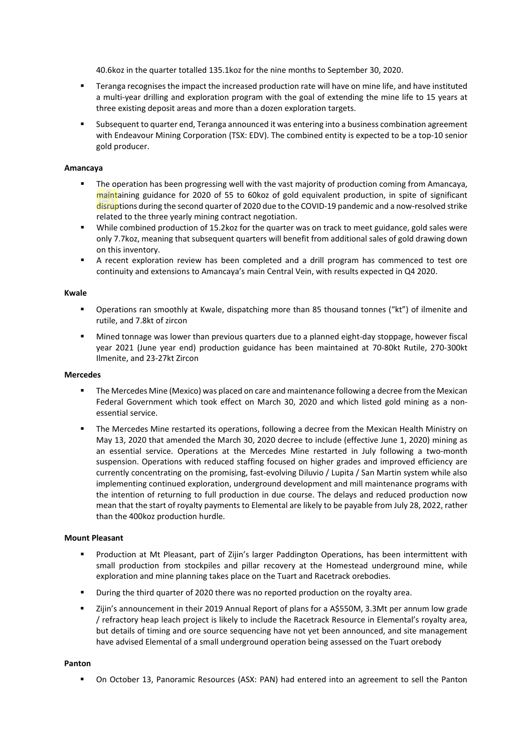40.6koz in the quarter totalled 135.1koz for the nine months to September 30, 2020.

- **FRET 1** Teranga recognises the impact the increased production rate will have on mine life, and have instituted a multi-year drilling and exploration program with the goal of extending the mine life to 15 years at three existing deposit areas and more than a dozen exploration targets.
- Subsequent to quarter end, Teranga announced it was entering into a business combination agreement with Endeavour Mining Corporation (TSX: EDV). The combined entity is expected to be a top-10 senior gold producer.

## **Amancaya**

- The operation has been progressing well with the vast majority of production coming from Amancaya, maintaining guidance for 2020 of 55 to 60koz of gold equivalent production, in spite of significant disruptions during the second quarter of 2020 due to the COVID-19 pandemic and a now-resolved strike related to the three yearly mining contract negotiation.
- While combined production of 15.2koz for the quarter was on track to meet guidance, gold sales were only 7.7koz, meaning that subsequent quarters will benefit from additional sales of gold drawing down on this inventory.
- A recent exploration review has been completed and a drill program has commenced to test ore continuity and extensions to Amancaya's main Central Vein, with results expected in Q4 2020.

### **Kwale**

- Operations ran smoothly at Kwale, dispatching more than 85 thousand tonnes ("kt") of ilmenite and rutile, and 7.8kt of zircon
- Mined tonnage was lower than previous quarters due to a planned eight-day stoppage, however fiscal year 2021 (June year end) production guidance has been maintained at 70-80kt Rutile, 270-300kt Ilmenite, and 23-27kt Zircon

#### **Mercedes**

- The Mercedes Mine (Mexico) was placed on care and maintenance following a decree from the Mexican Federal Government which took effect on March 30, 2020 and which listed gold mining as a nonessential service.
- The Mercedes Mine restarted its operations, following a decree from the Mexican Health Ministry on May 13, 2020 that amended the March 30, 2020 decree to include (effective June 1, 2020) mining as an essential service. Operations at the Mercedes Mine restarted in July following a two-month suspension. Operations with reduced staffing focused on higher grades and improved efficiency are currently concentrating on the promising, fast-evolving Diluvio / Lupita / San Martin system while also implementing continued exploration, underground development and mill maintenance programs with the intention of returning to full production in due course. The delays and reduced production now mean that the start of royalty payments to Elemental are likely to be payable from July 28, 2022, rather than the 400koz production hurdle.

## **Mount Pleasant**

- Production at Mt Pleasant, part of Zijin's larger Paddington Operations, has been intermittent with small production from stockpiles and pillar recovery at the Homestead underground mine, while exploration and mine planning takes place on the Tuart and Racetrack orebodies.
- During the third quarter of 2020 there was no reported production on the royalty area.
- Zijin's announcement in their 2019 Annual Report of plans for a A\$550M, 3.3Mt per annum low grade / refractory heap leach project is likely to include the Racetrack Resource in Elemental's royalty area, but details of timing and ore source sequencing have not yet been announced, and site management have advised Elemental of a small underground operation being assessed on the Tuart orebody

## **Panton**

On October 13, Panoramic Resources (ASX: PAN) had entered into an agreement to sell the Panton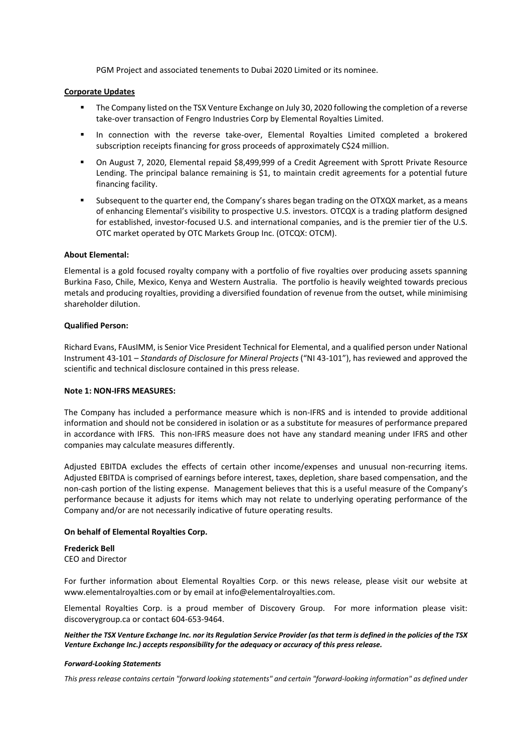PGM Project and associated tenements to Dubai 2020 Limited or its nominee.

## **Corporate Updates**

- The Company listed on the TSX Venture Exchange on July 30, 2020 following the completion of a reverse take-over transaction of Fengro Industries Corp by Elemental Royalties Limited.
- In connection with the reverse take-over, Elemental Royalties Limited completed a brokered subscription receipts financing for gross proceeds of approximately C\$24 million.
- On August 7, 2020, Elemental repaid \$8,499,999 of a Credit Agreement with Sprott Private Resource Lending. The principal balance remaining is \$1, to maintain credit agreements for a potential future financing facility.
- Subsequent to the quarter end, the Company's shares began trading on the OTXQX market, as a means of enhancing Elemental's visibility to prospective U.S. investors. OTCQX is a trading platform designed for established, investor-focused U.S. and international companies, and is the premier tier of the U.S. OTC market operated by OTC Markets Group Inc. (OTCQX: OTCM).

## **About Elemental:**

Elemental is a gold focused royalty company with a portfolio of five royalties over producing assets spanning Burkina Faso, Chile, Mexico, Kenya and Western Australia. The portfolio is heavily weighted towards precious metals and producing royalties, providing a diversified foundation of revenue from the outset, while minimising shareholder dilution.

### **Qualified Person:**

Richard Evans, FAusIMM, is Senior Vice President Technical for Elemental, and a qualified person under National Instrument 43-101 – *Standards of Disclosure for Mineral Projects* ("NI 43-101"), has reviewed and approved the scientific and technical disclosure contained in this press release.

### **Note 1: NON-IFRS MEASURES:**

The Company has included a performance measure which is non-IFRS and is intended to provide additional information and should not be considered in isolation or as a substitute for measures of performance prepared in accordance with IFRS. This non-IFRS measure does not have any standard meaning under IFRS and other companies may calculate measures differently.

Adjusted EBITDA excludes the effects of certain other income/expenses and unusual non-recurring items. Adjusted EBITDA is comprised of earnings before interest, taxes, depletion, share based compensation, and the non-cash portion of the listing expense. Management believes that this is a useful measure of the Company's performance because it adjusts for items which may not relate to underlying operating performance of the Company and/or are not necessarily indicative of future operating results.

## **On behalf of Elemental Royalties Corp.**

### **Frederick Bell**

CEO and Director

For further information about Elemental Royalties Corp. or this news release, please visit our website at www.elementalroyalties.com or by email at info@elementalroyalties.com.

Elemental Royalties Corp. is a proud member of Discovery Group. For more information please visit: discoverygroup.ca or contact 604-653-9464.

*Neither the TSX Venture Exchange Inc. nor its Regulation Service Provider (as that term is defined in the policies of the TSX Venture Exchange Inc.) accepts responsibility for the adequacy or accuracy of this press release.*

### *Forward-Looking Statements*

*This press release contains certain "forward looking statements" and certain "forward-looking information" as defined under*